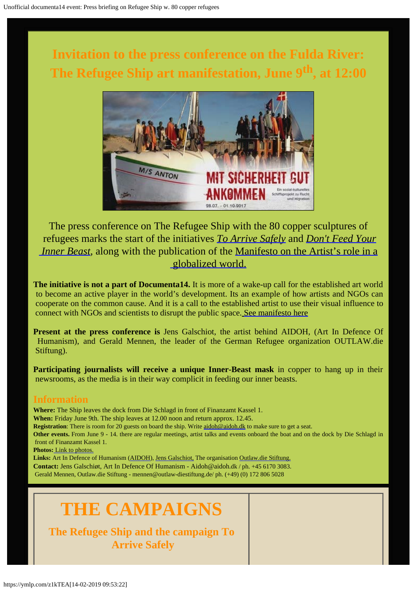**Invitation to the press conference on the Fulda River: The Refugee Ship art manifestation, June 9th, at 12:00**



The press conference on The Refugee Ship with the 80 copper sculptures of refugees marks the start of the initiatives *[To Arrive Safely](http://www.outlaw-diestiftung.de/aktivitaeten/veranstaltungen/mit-sicherheit-gut-ankommen/)* and *[Don't Feed Your](http://www.galschiot.com/documenta14/) Inner Beast*, along with the publication of the [Manifesto on the Artist's role in a](http://www.galschiot.com/wp-content/uploads/2017/06/documenta_manifesto_GB_Final.pdf)  [globalized world.](http://www.galschiot.com/wp-content/uploads/2017/06/documenta_manifesto_GB_Final.pdf)

**The initiative is not a part of Documenta14.** It is more of a wake-up call for the established art world to become an active player in the world's development. Its an example of how artists and NGOs can cooperate on the common cause. And it is a call to the established artist to use their visual influence to connect with NGOs and scientists to disrupt the public space. [See manifesto here](http://www.galschiot.com/wp-content/uploads/2017/06/documenta_manifesto_GB_Final.pdf)

**Present at the press conference is** Jens Galschiot, the artist behind AIDOH, (Art In Defence Of Humanism), and Gerald Mennen, the leader of the German Refugee organization OUTLAW.die Stiftung).

**Participating journalists will receive a unique Inner-Beast mask** in copper to hang up in their newsrooms, as the media is in their way complicit in feeding our inner beasts.

## **Information**

**Where:** The Ship leaves the dock from Die Schlagd in front of Finanzamt Kassel 1. **When:** Friday June 9th. The ship leaves at 12.00 noon and return approx. 12.45. **Registration**: There is room for 20 guests on board the ship. Write [aidoh@aidoh.dk](mailto:aidoh@aidoh.dk) to make sure to get a seat. **Other events.** From June 9 - 14. there are regular meetings, artist talks and events onboard the boat and on the dock by Die Schlagd in front of Finanzamt Kassel 1. **Photos:** [Link to photos.](http://www.galschiot.com/press-photos-documenta14/) **Links:** Art In Defence of Humanism [\(AIDOH](http://aidoh.dk/)), [Jens Galschiot,](http://www.galschiot.com/) The organisation [Outlaw.die Stiftung.](http://www.outlaw-diestiftung.de/aktivitaeten/veranstaltungen/mit-sicherheit-gut-ankommen/) **Contact:** Jens Galschiøt, Art In Defence Of Humanism - Aidoh@aidoh.dk / ph. +45 6170 3083. Gerald Mennen, Outlaw.die Stiftung - mennen@outlaw-diestiftung.de/ ph. (+49) (0) 172 806 5028

# **THE CAMPAIGNS**

**The Refugee Ship and the campaign To Arrive Safely**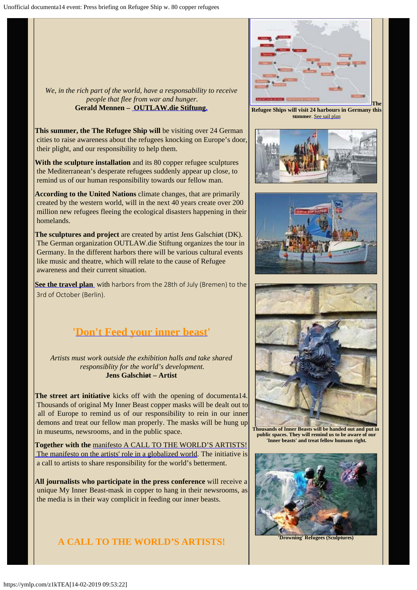*We, in the rich part of the world, have a responsability to receive people that flee from war and hunger.* **Gerald Mennen – [OUTLAW.die Stiftung.](http://www.outlaw-diestiftung.de/aktivitaeten/veranstaltungen/mit-sicherheit-gut-ankommen/)**

**This summer, the The Refugee Ship will** be visiting over 24 German cities to raise awareness about the refugees knocking on Europe's door, their plight, and our responsibility to help them.

**With the sculpture installation** and its 80 copper refugee sculptures the Mediterranean's desperate refugees suddenly appear up close, to remind us of our human responsibility towards our fellow man.

**According to the United Nations** climate changes, that are primarily created by the western world, will in the next 40 years create over 200 million new refugees fleeing the ecological disasters happening in their homelands.

**The sculptures and project** are created by artist Jens Galschiøt (DK). The German organization OUTLAW.die Stiftung organizes the tour in Germany. In the different harbors there will be various cultural events like music and theatre, which will relate to the cause of Refugee awareness and their current situation.

**[See the travel plan](http://www.outlaw-diestiftung.de/aktivitaeten/veranstaltungen/mit-sicherheit-gut-ankommen/die-route/#c145)** with harbors from the 28th of July (Bremen) to the 3rd of October (Berlin).

# **'[Don't Feed your inner beast](http://www.galschiot.com/documenta14/)'**

*Artists must work outside the exhibition halls and take shared responsiblity for the world's development.* **Jens Galschiøt – Artist**

**The street art initiative** kicks off with the opening of documenta14. Thousands of original My Inner Beast copper masks will be dealt out to all of Europe to remind us of our responsibility to rein in our inner demons and treat our fellow man properly. The masks will be hung up in museums, newsrooms, and in the public space.

**Together with the** [manifesto A CALL TO THE WORLD'S ARTISTS!](http://www.galschiot.com/wp-content/uploads/2017/06/documenta_manifesto_GB_Final.pdf) The manifesto on the artists' role in a globalized world. The initiative is a call to artists to share responsibility for the world's betterment.

**All journalists who participate in the press conference** will receive a unique My Inner Beast-mask in copper to hang in their newsrooms, as the media is in their way complicit in feeding our inner beasts.

#### **A CALL TO THE WORLD'S ARTISTS!**



 **Refugee Ships will visit 24 harbours in Germany this summer**. [See sail plan](http://www.outlaw-diestiftung.de/aktivitaeten/veranstaltungen/mit-sicherheit-gut-ankommen/die-route/#c145)







**Thousands of Inner Beasts will be handed out and put in public spaces. They will remind us to be aware of our 'Inner beasts' and treat fellow humans right.**



**'Drowning' Refugees (Sculptures)**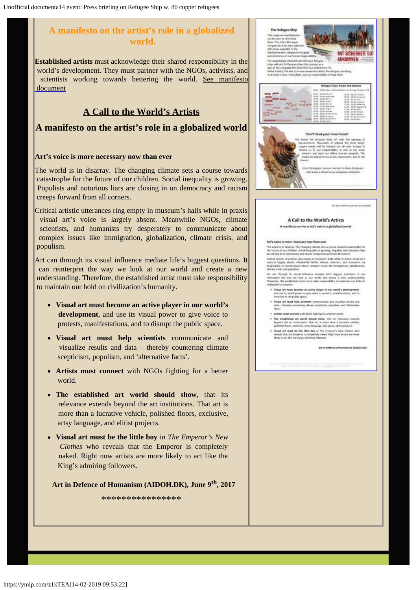## **A manifesto on the artist's role in a globalized world.**

**Established artists** must acknowledge their shared responsibility in the world's development. They must partner with the NGOs, activists, and scientists working towards bettering the world. [See manifesto](http://www.galschiot.com/wp-content/uploads/2017/06/documenta_manifesto_GB_Final.pdf)  [document](http://www.galschiot.com/wp-content/uploads/2017/06/documenta_manifesto_GB_Final.pdf)

#### **A Call to the World's Artists**

#### **A manifesto on the artist's role in a globalized world**

#### **Art's voice is more necessary now than ever**

The world is in disarray. The changing climate sets a course towards catastrophe for the future of our children. Social inequality is growing. Populists and notorious liars are closing in on democracy and racism creeps forward from all corners.

Critical artistic utterances ring empty in museum's halls while in praxis visual art's voice is largely absent. Meanwhile NGOs, climate scientists, and humanists try desperately to communicate about complex issues like immigration, globalization, climate crisis, and populism.

Art can through its visual influence mediate life's biggest questions. It can reinterpret the way we look at our world and create a new understanding. Therefore, the established artist must take responsibility to maintain our hold on civilization's humanity.

- **Visual art must become an active player in our world's development**, and use its visual power to give voice to protests, manifestations, and to disrupt the public space.
- **Visual art must help scientists** communicate and visualize results and data – thereby countering climate scepticism, populism, and 'alternative facts'.
- **Artists must connect** with NGOs fighting for a better world.
- **The established art world should show**, that its relevance extends beyond the art institutions. That art is more than a lucrative vehicle, polished floors, exclusive, artsy language, and elitist projects.
- **Visual art must be the little boy** in *The Emperor's New Clothes* who reveals that the Emperor is completely naked. Right now artists are more likely to act like the King's admiring followers.

**Art in Defence of Humanism (AIDOH.DK), June 9th, 2017**

\*\*\*\*\*\*\*\*\*\*\*\*\*\*\*\*